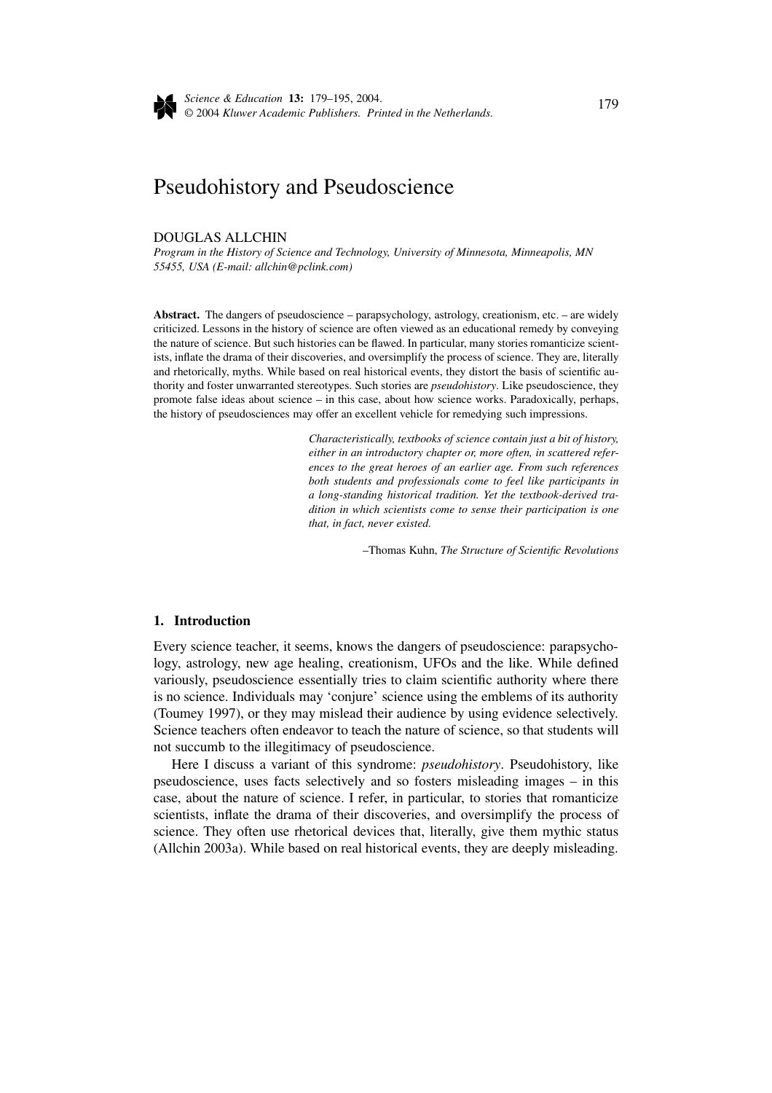

*Science & Education* **13:** 179–195, 2004. © 2004 *Kluwer Academic Publishers. Printed in the Netherlands.* <sup>179</sup>

# Pseudohistory and Pseudoscience

## DOUGLAS ALLCHIN

*Program in the History of Science and Technology, University of Minnesota, Minneapolis, MN 55455, USA (E-mail: allchin@pclink.com)*

**Abstract.** The dangers of pseudoscience – parapsychology, astrology, creationism, etc. – are widely criticized. Lessons in the history of science are often viewed as an educational remedy by conveying the nature of science. But such histories can be flawed. In particular, many stories romanticize scientists, inflate the drama of their discoveries, and oversimplify the process of science. They are, literally and rhetorically, myths. While based on real historical events, they distort the basis of scientific authority and foster unwarranted stereotypes. Such stories are *pseudohistory*. Like pseudoscience, they promote false ideas about science – in this case, about how science works. Paradoxically, perhaps, the history of pseudosciences may offer an excellent vehicle for remedying such impressions.

> *Characteristically, textbooks of science contain just a bit of history, either in an introductory chapter or, more often, in scattered references to the great heroes of an earlier age. From such references both students and professionals come to feel like participants in a long-standing historical tradition. Yet the textbook-derived tradition in which scientists come to sense their participation is one that, in fact, never existed.*

> > –Thomas Kuhn, *The Structure of Scientific Revolutions*

# **1. Introduction**

Every science teacher, it seems, knows the dangers of pseudoscience: parapsychology, astrology, new age healing, creationism, UFOs and the like. While defined variously, pseudoscience essentially tries to claim scientific authority where there is no science. Individuals may 'conjure' science using the emblems of its authority (Toumey 1997), or they may mislead their audience by using evidence selectively. Science teachers often endeavor to teach the nature of science, so that students will not succumb to the illegitimacy of pseudoscience.

Here I discuss a variant of this syndrome: *pseudohistory*. Pseudohistory, like pseudoscience, uses facts selectively and so fosters misleading images – in this case, about the nature of science. I refer, in particular, to stories that romanticize scientists, inflate the drama of their discoveries, and oversimplify the process of science. They often use rhetorical devices that, literally, give them mythic status (Allchin 2003a). While based on real historical events, they are deeply misleading.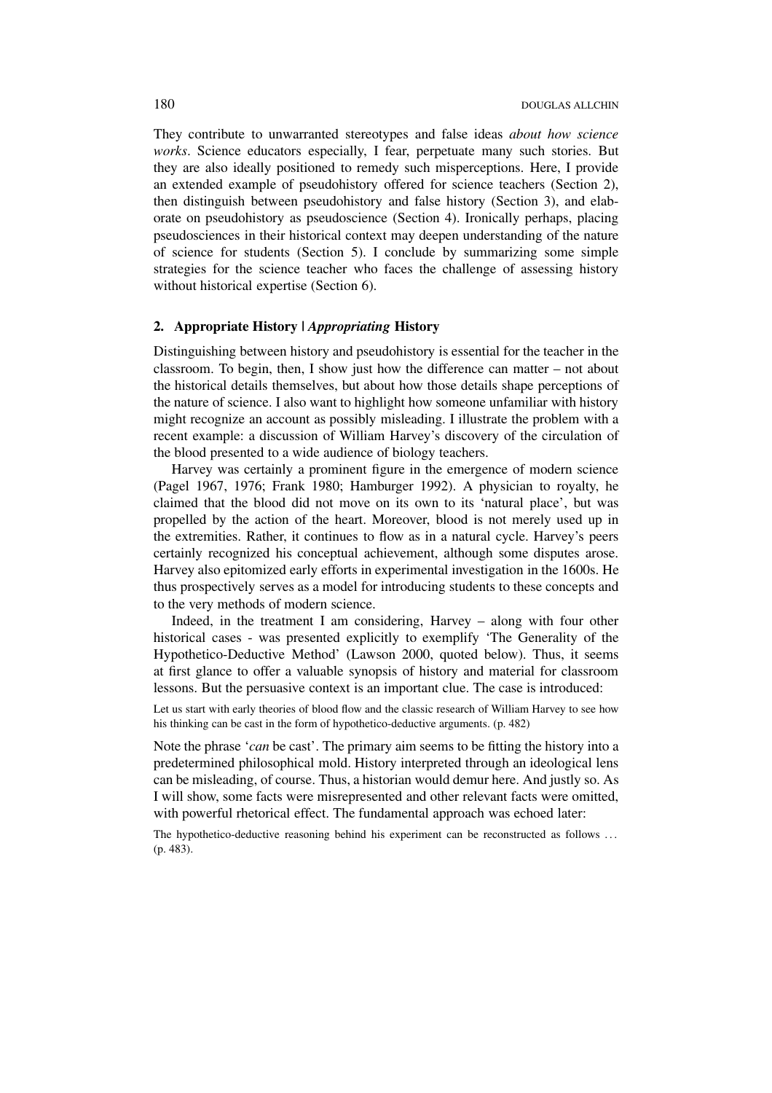They contribute to unwarranted stereotypes and false ideas *about how science works*. Science educators especially, I fear, perpetuate many such stories. But they are also ideally positioned to remedy such misperceptions. Here, I provide an extended example of pseudohistory offered for science teachers (Section 2), then distinguish between pseudohistory and false history (Section 3), and elaborate on pseudohistory as pseudoscience (Section 4). Ironically perhaps, placing pseudosciences in their historical context may deepen understanding of the nature of science for students (Section 5). I conclude by summarizing some simple strategies for the science teacher who faces the challenge of assessing history without historical expertise (Section 6).

# **2. Appropriate History |** *Appropriating* **History**

Distinguishing between history and pseudohistory is essential for the teacher in the classroom. To begin, then, I show just how the difference can matter – not about the historical details themselves, but about how those details shape perceptions of the nature of science. I also want to highlight how someone unfamiliar with history might recognize an account as possibly misleading. I illustrate the problem with a recent example: a discussion of William Harvey's discovery of the circulation of the blood presented to a wide audience of biology teachers.

Harvey was certainly a prominent figure in the emergence of modern science (Pagel 1967, 1976; Frank 1980; Hamburger 1992). A physician to royalty, he claimed that the blood did not move on its own to its 'natural place', but was propelled by the action of the heart. Moreover, blood is not merely used up in the extremities. Rather, it continues to flow as in a natural cycle. Harvey's peers certainly recognized his conceptual achievement, although some disputes arose. Harvey also epitomized early efforts in experimental investigation in the 1600s. He thus prospectively serves as a model for introducing students to these concepts and to the very methods of modern science.

Indeed, in the treatment I am considering, Harvey – along with four other historical cases - was presented explicitly to exemplify 'The Generality of the Hypothetico-Deductive Method' (Lawson 2000, quoted below). Thus, it seems at first glance to offer a valuable synopsis of history and material for classroom lessons. But the persuasive context is an important clue. The case is introduced:

Let us start with early theories of blood flow and the classic research of William Harvey to see how his thinking can be cast in the form of hypothetico-deductive arguments. (p. 482)

Note the phrase '*can* be cast'. The primary aim seems to be fitting the history into a predetermined philosophical mold. History interpreted through an ideological lens can be misleading, of course. Thus, a historian would demur here. And justly so. As I will show, some facts were misrepresented and other relevant facts were omitted, with powerful rhetorical effect. The fundamental approach was echoed later:

The hypothetico-deductive reasoning behind his experiment can be reconstructed as follows . . . (p. 483).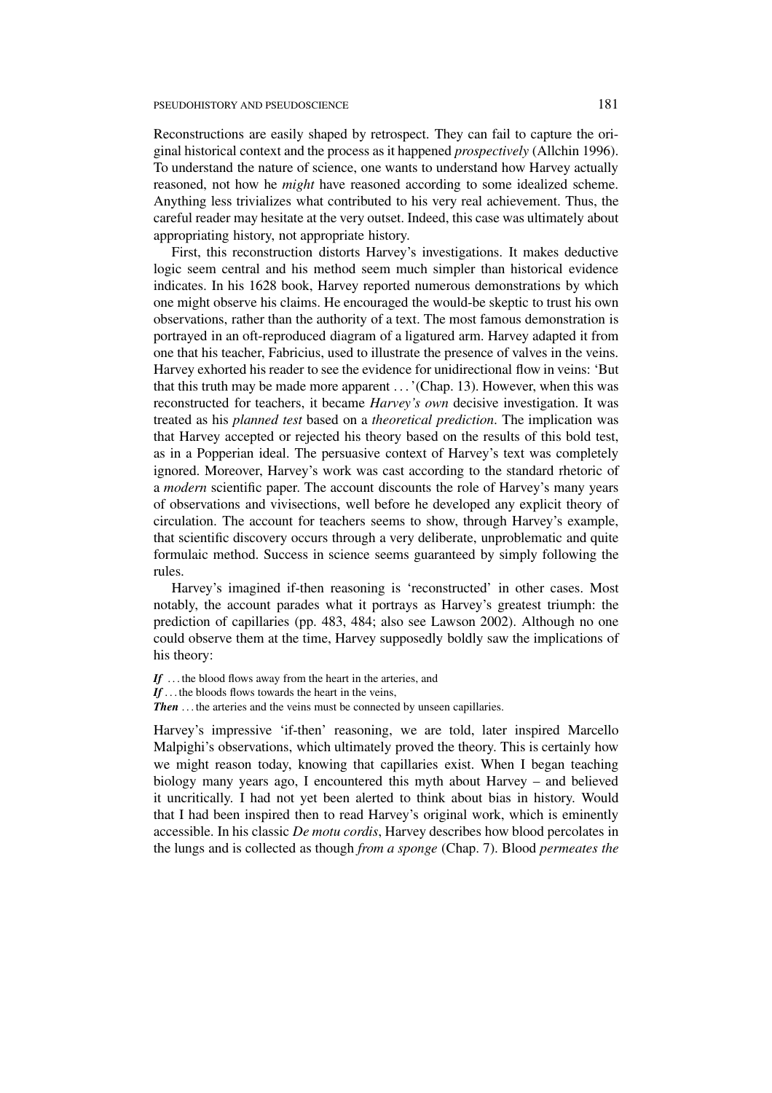Reconstructions are easily shaped by retrospect. They can fail to capture the original historical context and the process as it happened *prospectively* (Allchin 1996). To understand the nature of science, one wants to understand how Harvey actually reasoned, not how he *might* have reasoned according to some idealized scheme. Anything less trivializes what contributed to his very real achievement. Thus, the careful reader may hesitate at the very outset. Indeed, this case was ultimately about appropriating history, not appropriate history.

First, this reconstruction distorts Harvey's investigations. It makes deductive logic seem central and his method seem much simpler than historical evidence indicates. In his 1628 book, Harvey reported numerous demonstrations by which one might observe his claims. He encouraged the would-be skeptic to trust his own observations, rather than the authority of a text. The most famous demonstration is portrayed in an oft-reproduced diagram of a ligatured arm. Harvey adapted it from one that his teacher, Fabricius, used to illustrate the presence of valves in the veins. Harvey exhorted his reader to see the evidence for unidirectional flow in veins: 'But that this truth may be made more apparent . . . '(Chap. 13). However, when this was reconstructed for teachers, it became *Harvey's own* decisive investigation. It was treated as his *planned test* based on a *theoretical prediction*. The implication was that Harvey accepted or rejected his theory based on the results of this bold test, as in a Popperian ideal. The persuasive context of Harvey's text was completely ignored. Moreover, Harvey's work was cast according to the standard rhetoric of a *modern* scientific paper. The account discounts the role of Harvey's many years of observations and vivisections, well before he developed any explicit theory of circulation. The account for teachers seems to show, through Harvey's example, that scientific discovery occurs through a very deliberate, unproblematic and quite formulaic method. Success in science seems guaranteed by simply following the rules.

Harvey's imagined if-then reasoning is 'reconstructed' in other cases. Most notably, the account parades what it portrays as Harvey's greatest triumph: the prediction of capillaries (pp. 483, 484; also see Lawson 2002). Although no one could observe them at the time, Harvey supposedly boldly saw the implications of his theory:

*If* ... the blood flows away from the heart in the arteries, and

If ... the bloods flows towards the heart in the veins,

*Then* ... the arteries and the veins must be connected by unseen capillaries.

Harvey's impressive 'if-then' reasoning, we are told, later inspired Marcello Malpighi's observations, which ultimately proved the theory. This is certainly how we might reason today, knowing that capillaries exist. When I began teaching biology many years ago, I encountered this myth about Harvey – and believed it uncritically. I had not yet been alerted to think about bias in history. Would that I had been inspired then to read Harvey's original work, which is eminently accessible. In his classic *De motu cordis*, Harvey describes how blood percolates in the lungs and is collected as though *from a sponge* (Chap. 7). Blood *permeates the*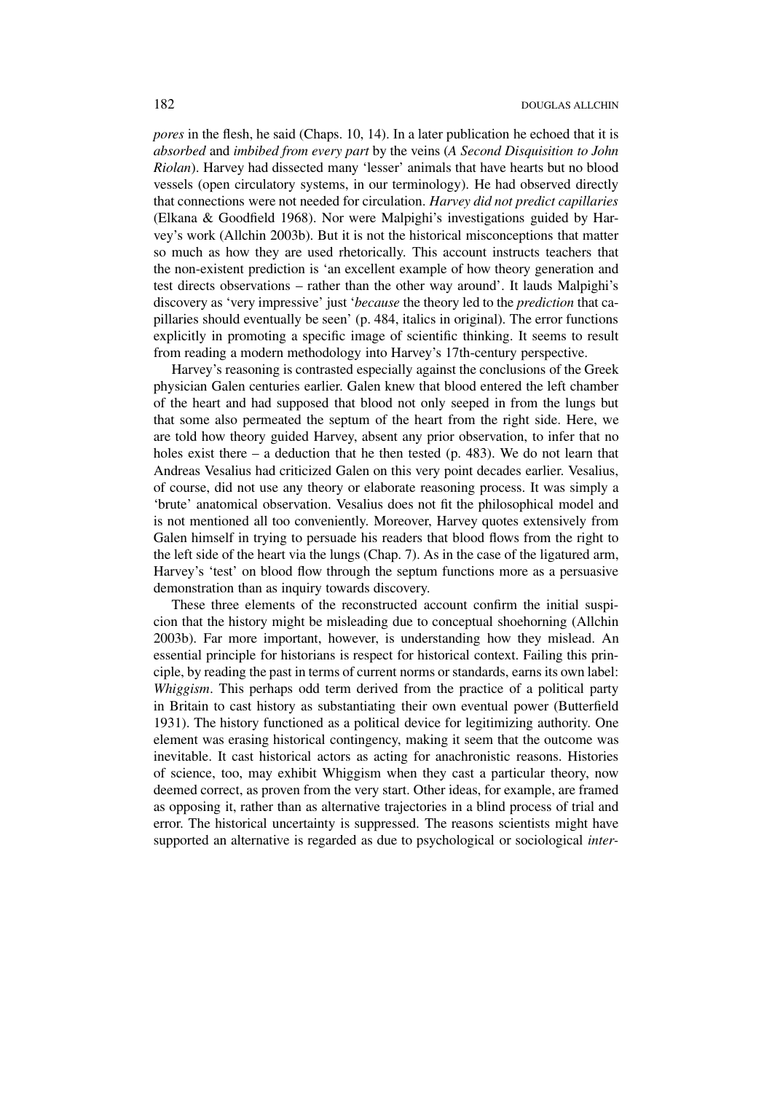#### 182 DOUGLAS ALLCHIN

*pores* in the flesh, he said (Chaps. 10, 14). In a later publication he echoed that it is *absorbed* and *imbibed from every part* by the veins (*A Second Disquisition to John Riolan*). Harvey had dissected many 'lesser' animals that have hearts but no blood vessels (open circulatory systems, in our terminology). He had observed directly that connections were not needed for circulation. *Harvey did not predict capillaries* (Elkana & Goodfield 1968). Nor were Malpighi's investigations guided by Harvey's work (Allchin 2003b). But it is not the historical misconceptions that matter so much as how they are used rhetorically. This account instructs teachers that the non-existent prediction is 'an excellent example of how theory generation and test directs observations – rather than the other way around'. It lauds Malpighi's discovery as 'very impressive' just '*because* the theory led to the *prediction* that capillaries should eventually be seen' (p. 484, italics in original). The error functions explicitly in promoting a specific image of scientific thinking. It seems to result from reading a modern methodology into Harvey's 17th-century perspective.

Harvey's reasoning is contrasted especially against the conclusions of the Greek physician Galen centuries earlier. Galen knew that blood entered the left chamber of the heart and had supposed that blood not only seeped in from the lungs but that some also permeated the septum of the heart from the right side. Here, we are told how theory guided Harvey, absent any prior observation, to infer that no holes exist there – a deduction that he then tested (p. 483). We do not learn that Andreas Vesalius had criticized Galen on this very point decades earlier. Vesalius, of course, did not use any theory or elaborate reasoning process. It was simply a 'brute' anatomical observation. Vesalius does not fit the philosophical model and is not mentioned all too conveniently. Moreover, Harvey quotes extensively from Galen himself in trying to persuade his readers that blood flows from the right to the left side of the heart via the lungs (Chap. 7). As in the case of the ligatured arm, Harvey's 'test' on blood flow through the septum functions more as a persuasive demonstration than as inquiry towards discovery.

These three elements of the reconstructed account confirm the initial suspicion that the history might be misleading due to conceptual shoehorning (Allchin 2003b). Far more important, however, is understanding how they mislead. An essential principle for historians is respect for historical context. Failing this principle, by reading the past in terms of current norms or standards, earns its own label: *Whiggism*. This perhaps odd term derived from the practice of a political party in Britain to cast history as substantiating their own eventual power (Butterfield 1931). The history functioned as a political device for legitimizing authority. One element was erasing historical contingency, making it seem that the outcome was inevitable. It cast historical actors as acting for anachronistic reasons. Histories of science, too, may exhibit Whiggism when they cast a particular theory, now deemed correct, as proven from the very start. Other ideas, for example, are framed as opposing it, rather than as alternative trajectories in a blind process of trial and error. The historical uncertainty is suppressed. The reasons scientists might have supported an alternative is regarded as due to psychological or sociological *inter-*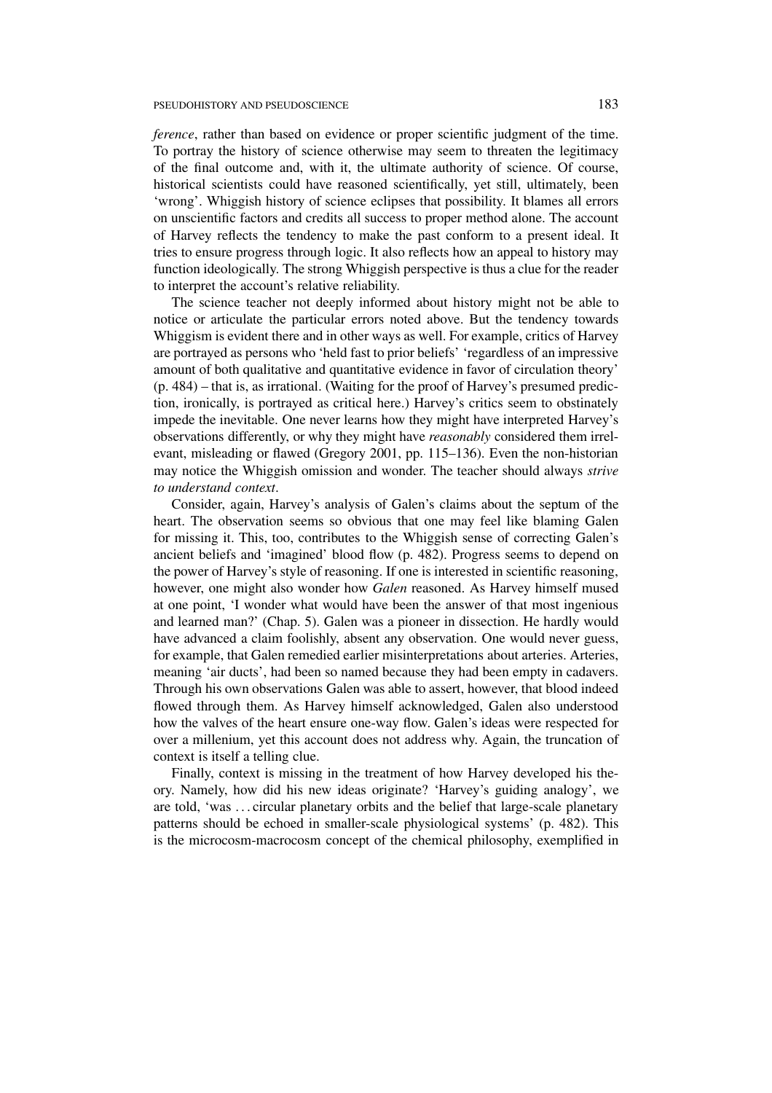*ference*, rather than based on evidence or proper scientific judgment of the time. To portray the history of science otherwise may seem to threaten the legitimacy of the final outcome and, with it, the ultimate authority of science. Of course, historical scientists could have reasoned scientifically, yet still, ultimately, been 'wrong'. Whiggish history of science eclipses that possibility. It blames all errors on unscientific factors and credits all success to proper method alone. The account of Harvey reflects the tendency to make the past conform to a present ideal. It tries to ensure progress through logic. It also reflects how an appeal to history may function ideologically. The strong Whiggish perspective is thus a clue for the reader to interpret the account's relative reliability.

The science teacher not deeply informed about history might not be able to notice or articulate the particular errors noted above. But the tendency towards Whiggism is evident there and in other ways as well. For example, critics of Harvey are portrayed as persons who 'held fast to prior beliefs' 'regardless of an impressive amount of both qualitative and quantitative evidence in favor of circulation theory' (p. 484) – that is, as irrational. (Waiting for the proof of Harvey's presumed prediction, ironically, is portrayed as critical here.) Harvey's critics seem to obstinately impede the inevitable. One never learns how they might have interpreted Harvey's observations differently, or why they might have *reasonably* considered them irrelevant, misleading or flawed (Gregory 2001, pp. 115–136). Even the non-historian may notice the Whiggish omission and wonder. The teacher should always *strive to understand context*.

Consider, again, Harvey's analysis of Galen's claims about the septum of the heart. The observation seems so obvious that one may feel like blaming Galen for missing it. This, too, contributes to the Whiggish sense of correcting Galen's ancient beliefs and 'imagined' blood flow (p. 482). Progress seems to depend on the power of Harvey's style of reasoning. If one is interested in scientific reasoning, however, one might also wonder how *Galen* reasoned. As Harvey himself mused at one point, 'I wonder what would have been the answer of that most ingenious and learned man?' (Chap. 5). Galen was a pioneer in dissection. He hardly would have advanced a claim foolishly, absent any observation. One would never guess, for example, that Galen remedied earlier misinterpretations about arteries. Arteries, meaning 'air ducts', had been so named because they had been empty in cadavers. Through his own observations Galen was able to assert, however, that blood indeed flowed through them. As Harvey himself acknowledged, Galen also understood how the valves of the heart ensure one-way flow. Galen's ideas were respected for over a millenium, yet this account does not address why. Again, the truncation of context is itself a telling clue.

Finally, context is missing in the treatment of how Harvey developed his theory. Namely, how did his new ideas originate? 'Harvey's guiding analogy', we are told, 'was . . . circular planetary orbits and the belief that large-scale planetary patterns should be echoed in smaller-scale physiological systems' (p. 482). This is the microcosm-macrocosm concept of the chemical philosophy, exemplified in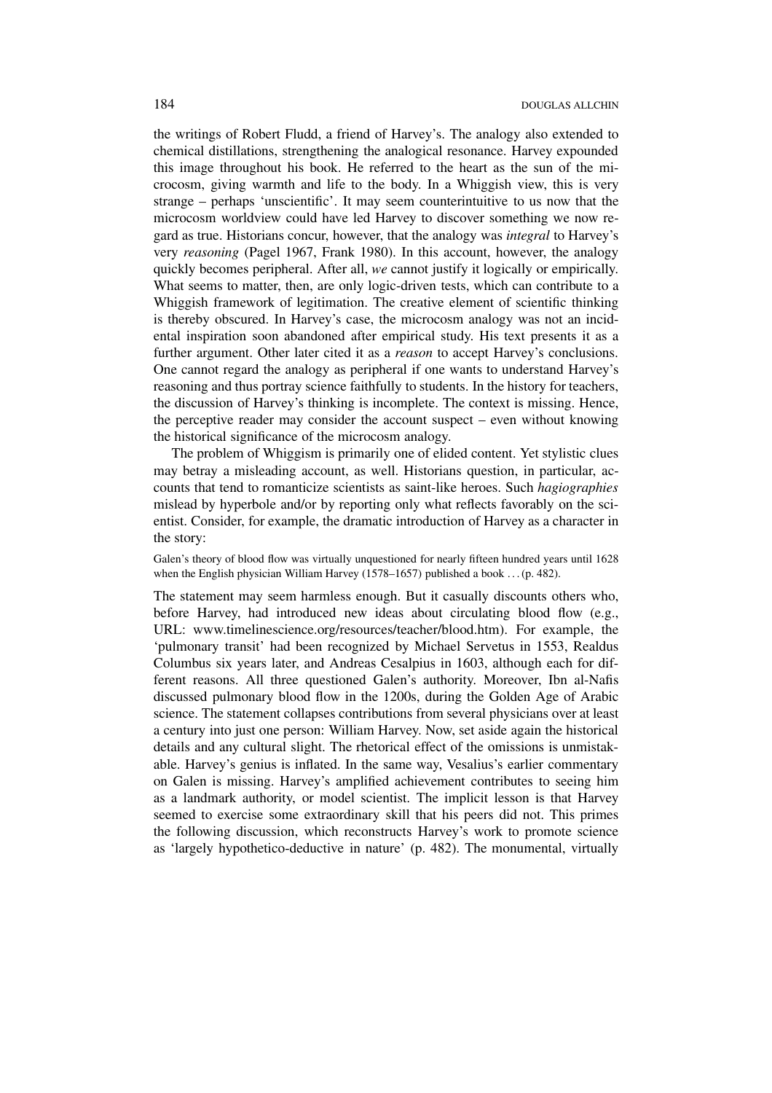the writings of Robert Fludd, a friend of Harvey's. The analogy also extended to chemical distillations, strengthening the analogical resonance. Harvey expounded this image throughout his book. He referred to the heart as the sun of the microcosm, giving warmth and life to the body. In a Whiggish view, this is very strange – perhaps 'unscientific'. It may seem counterintuitive to us now that the microcosm worldview could have led Harvey to discover something we now regard as true. Historians concur, however, that the analogy was *integral* to Harvey's very *reasoning* (Pagel 1967, Frank 1980). In this account, however, the analogy quickly becomes peripheral. After all, *we* cannot justify it logically or empirically. What seems to matter, then, are only logic-driven tests, which can contribute to a Whiggish framework of legitimation. The creative element of scientific thinking is thereby obscured. In Harvey's case, the microcosm analogy was not an incidental inspiration soon abandoned after empirical study. His text presents it as a further argument. Other later cited it as a *reason* to accept Harvey's conclusions. One cannot regard the analogy as peripheral if one wants to understand Harvey's reasoning and thus portray science faithfully to students. In the history for teachers, the discussion of Harvey's thinking is incomplete. The context is missing. Hence, the perceptive reader may consider the account suspect – even without knowing the historical significance of the microcosm analogy.

The problem of Whiggism is primarily one of elided content. Yet stylistic clues may betray a misleading account, as well. Historians question, in particular, accounts that tend to romanticize scientists as saint-like heroes. Such *hagiographies* mislead by hyperbole and/or by reporting only what reflects favorably on the scientist. Consider, for example, the dramatic introduction of Harvey as a character in the story:

Galen's theory of blood flow was virtually unquestioned for nearly fifteen hundred years until 1628 when the English physician William Harvey (1578–1657) published a book . . . (p. 482).

The statement may seem harmless enough. But it casually discounts others who, before Harvey, had introduced new ideas about circulating blood flow (e.g., URL: www.timelinescience.org/resources/teacher/blood.htm). For example, the 'pulmonary transit' had been recognized by Michael Servetus in 1553, Realdus Columbus six years later, and Andreas Cesalpius in 1603, although each for different reasons. All three questioned Galen's authority. Moreover, Ibn al-Nafis discussed pulmonary blood flow in the 1200s, during the Golden Age of Arabic science. The statement collapses contributions from several physicians over at least a century into just one person: William Harvey. Now, set aside again the historical details and any cultural slight. The rhetorical effect of the omissions is unmistakable. Harvey's genius is inflated. In the same way, Vesalius's earlier commentary on Galen is missing. Harvey's amplified achievement contributes to seeing him as a landmark authority, or model scientist. The implicit lesson is that Harvey seemed to exercise some extraordinary skill that his peers did not. This primes the following discussion, which reconstructs Harvey's work to promote science as 'largely hypothetico-deductive in nature' (p. 482). The monumental, virtually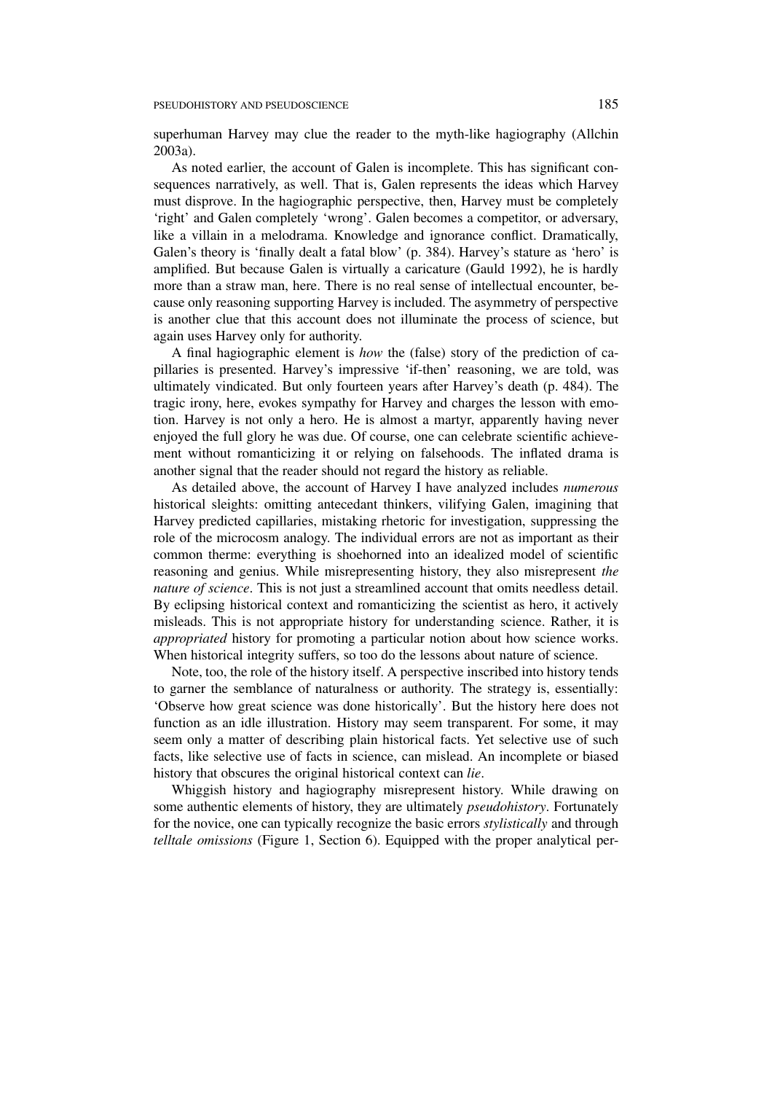superhuman Harvey may clue the reader to the myth-like hagiography (Allchin 2003a).

As noted earlier, the account of Galen is incomplete. This has significant consequences narratively, as well. That is, Galen represents the ideas which Harvey must disprove. In the hagiographic perspective, then, Harvey must be completely 'right' and Galen completely 'wrong'. Galen becomes a competitor, or adversary, like a villain in a melodrama. Knowledge and ignorance conflict. Dramatically, Galen's theory is 'finally dealt a fatal blow' (p. 384). Harvey's stature as 'hero' is amplified. But because Galen is virtually a caricature (Gauld 1992), he is hardly more than a straw man, here. There is no real sense of intellectual encounter, because only reasoning supporting Harvey is included. The asymmetry of perspective is another clue that this account does not illuminate the process of science, but again uses Harvey only for authority.

A final hagiographic element is *how* the (false) story of the prediction of capillaries is presented. Harvey's impressive 'if-then' reasoning, we are told, was ultimately vindicated. But only fourteen years after Harvey's death (p. 484). The tragic irony, here, evokes sympathy for Harvey and charges the lesson with emotion. Harvey is not only a hero. He is almost a martyr, apparently having never enjoyed the full glory he was due. Of course, one can celebrate scientific achievement without romanticizing it or relying on falsehoods. The inflated drama is another signal that the reader should not regard the history as reliable.

As detailed above, the account of Harvey I have analyzed includes *numerous* historical sleights: omitting antecedant thinkers, vilifying Galen, imagining that Harvey predicted capillaries, mistaking rhetoric for investigation, suppressing the role of the microcosm analogy. The individual errors are not as important as their common therme: everything is shoehorned into an idealized model of scientific reasoning and genius. While misrepresenting history, they also misrepresent *the nature of science*. This is not just a streamlined account that omits needless detail. By eclipsing historical context and romanticizing the scientist as hero, it actively misleads. This is not appropriate history for understanding science. Rather, it is *appropriated* history for promoting a particular notion about how science works. When historical integrity suffers, so too do the lessons about nature of science.

Note, too, the role of the history itself. A perspective inscribed into history tends to garner the semblance of naturalness or authority. The strategy is, essentially: 'Observe how great science was done historically'. But the history here does not function as an idle illustration. History may seem transparent. For some, it may seem only a matter of describing plain historical facts. Yet selective use of such facts, like selective use of facts in science, can mislead. An incomplete or biased history that obscures the original historical context can *lie*.

Whiggish history and hagiography misrepresent history. While drawing on some authentic elements of history, they are ultimately *pseudohistory*. Fortunately for the novice, one can typically recognize the basic errors *stylistically* and through *telltale omissions* (Figure 1, Section 6). Equipped with the proper analytical per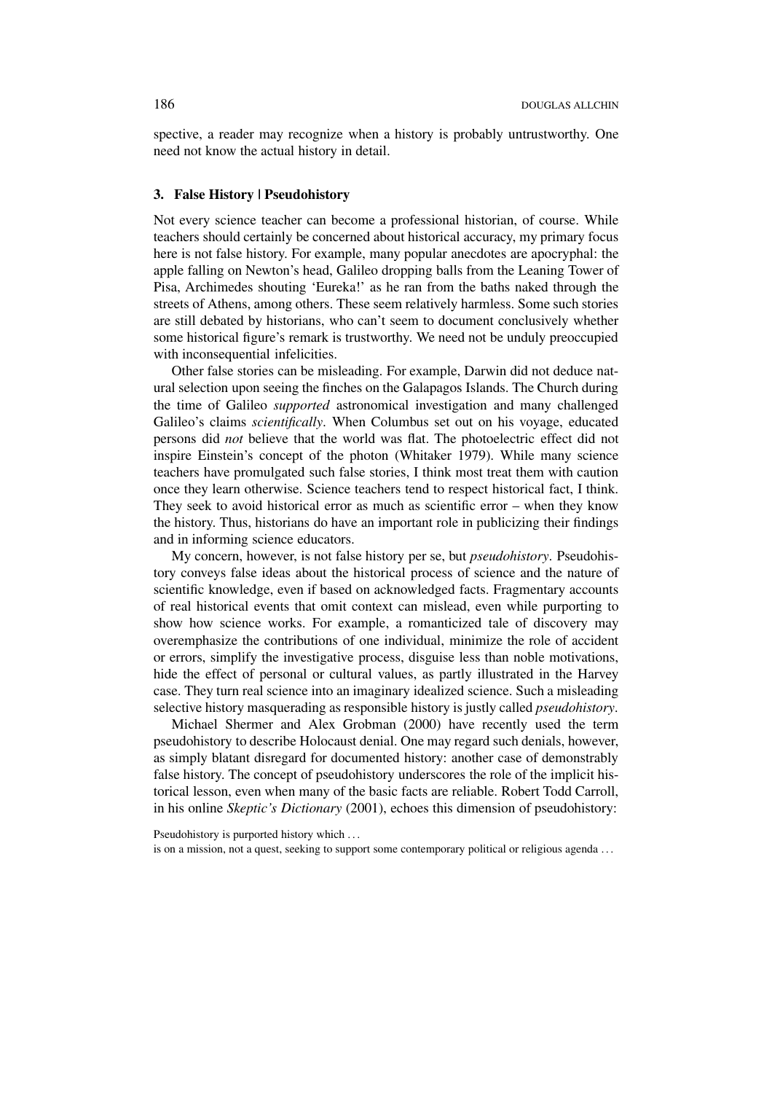spective, a reader may recognize when a history is probably untrustworthy. One need not know the actual history in detail.

#### **3. False History | Pseudohistory**

Not every science teacher can become a professional historian, of course. While teachers should certainly be concerned about historical accuracy, my primary focus here is not false history. For example, many popular anecdotes are apocryphal: the apple falling on Newton's head, Galileo dropping balls from the Leaning Tower of Pisa, Archimedes shouting 'Eureka!' as he ran from the baths naked through the streets of Athens, among others. These seem relatively harmless. Some such stories are still debated by historians, who can't seem to document conclusively whether some historical figure's remark is trustworthy. We need not be unduly preoccupied with inconsequential infelicities.

Other false stories can be misleading. For example, Darwin did not deduce natural selection upon seeing the finches on the Galapagos Islands. The Church during the time of Galileo *supported* astronomical investigation and many challenged Galileo's claims *scientifically*. When Columbus set out on his voyage, educated persons did *not* believe that the world was flat. The photoelectric effect did not inspire Einstein's concept of the photon (Whitaker 1979). While many science teachers have promulgated such false stories, I think most treat them with caution once they learn otherwise. Science teachers tend to respect historical fact, I think. They seek to avoid historical error as much as scientific error – when they know the history. Thus, historians do have an important role in publicizing their findings and in informing science educators.

My concern, however, is not false history per se, but *pseudohistory*. Pseudohistory conveys false ideas about the historical process of science and the nature of scientific knowledge, even if based on acknowledged facts. Fragmentary accounts of real historical events that omit context can mislead, even while purporting to show how science works. For example, a romanticized tale of discovery may overemphasize the contributions of one individual, minimize the role of accident or errors, simplify the investigative process, disguise less than noble motivations, hide the effect of personal or cultural values, as partly illustrated in the Harvey case. They turn real science into an imaginary idealized science. Such a misleading selective history masquerading as responsible history is justly called *pseudohistory*.

Michael Shermer and Alex Grobman (2000) have recently used the term pseudohistory to describe Holocaust denial. One may regard such denials, however, as simply blatant disregard for documented history: another case of demonstrably false history. The concept of pseudohistory underscores the role of the implicit historical lesson, even when many of the basic facts are reliable. Robert Todd Carroll, in his online *Skeptic's Dictionary* (2001), echoes this dimension of pseudohistory:

Pseudohistory is purported history which . . .

is on a mission, not a quest, seeking to support some contemporary political or religious agenda . . .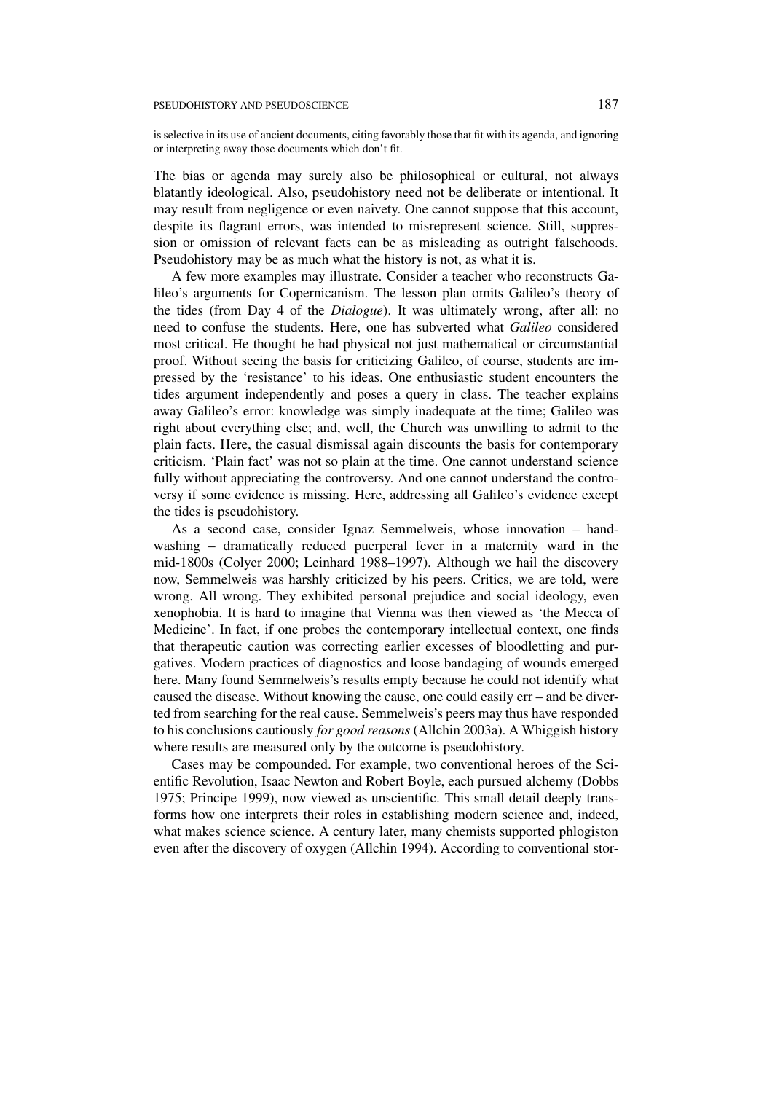is selective in its use of ancient documents, citing favorably those that fit with its agenda, and ignoring or interpreting away those documents which don't fit.

The bias or agenda may surely also be philosophical or cultural, not always blatantly ideological. Also, pseudohistory need not be deliberate or intentional. It may result from negligence or even naivety. One cannot suppose that this account, despite its flagrant errors, was intended to misrepresent science. Still, suppression or omission of relevant facts can be as misleading as outright falsehoods. Pseudohistory may be as much what the history is not, as what it is.

A few more examples may illustrate. Consider a teacher who reconstructs Galileo's arguments for Copernicanism. The lesson plan omits Galileo's theory of the tides (from Day 4 of the *Dialogue*). It was ultimately wrong, after all: no need to confuse the students. Here, one has subverted what *Galileo* considered most critical. He thought he had physical not just mathematical or circumstantial proof. Without seeing the basis for criticizing Galileo, of course, students are impressed by the 'resistance' to his ideas. One enthusiastic student encounters the tides argument independently and poses a query in class. The teacher explains away Galileo's error: knowledge was simply inadequate at the time; Galileo was right about everything else; and, well, the Church was unwilling to admit to the plain facts. Here, the casual dismissal again discounts the basis for contemporary criticism. 'Plain fact' was not so plain at the time. One cannot understand science fully without appreciating the controversy. And one cannot understand the controversy if some evidence is missing. Here, addressing all Galileo's evidence except the tides is pseudohistory.

As a second case, consider Ignaz Semmelweis, whose innovation – handwashing – dramatically reduced puerperal fever in a maternity ward in the mid-1800s (Colyer 2000; Leinhard 1988–1997). Although we hail the discovery now, Semmelweis was harshly criticized by his peers. Critics, we are told, were wrong. All wrong. They exhibited personal prejudice and social ideology, even xenophobia. It is hard to imagine that Vienna was then viewed as 'the Mecca of Medicine'. In fact, if one probes the contemporary intellectual context, one finds that therapeutic caution was correcting earlier excesses of bloodletting and purgatives. Modern practices of diagnostics and loose bandaging of wounds emerged here. Many found Semmelweis's results empty because he could not identify what caused the disease. Without knowing the cause, one could easily err – and be diverted from searching for the real cause. Semmelweis's peers may thus have responded to his conclusions cautiously *for good reasons* (Allchin 2003a). A Whiggish history where results are measured only by the outcome is pseudohistory.

Cases may be compounded. For example, two conventional heroes of the Scientific Revolution, Isaac Newton and Robert Boyle, each pursued alchemy (Dobbs 1975; Principe 1999), now viewed as unscientific. This small detail deeply transforms how one interprets their roles in establishing modern science and, indeed, what makes science science. A century later, many chemists supported phlogiston even after the discovery of oxygen (Allchin 1994). According to conventional stor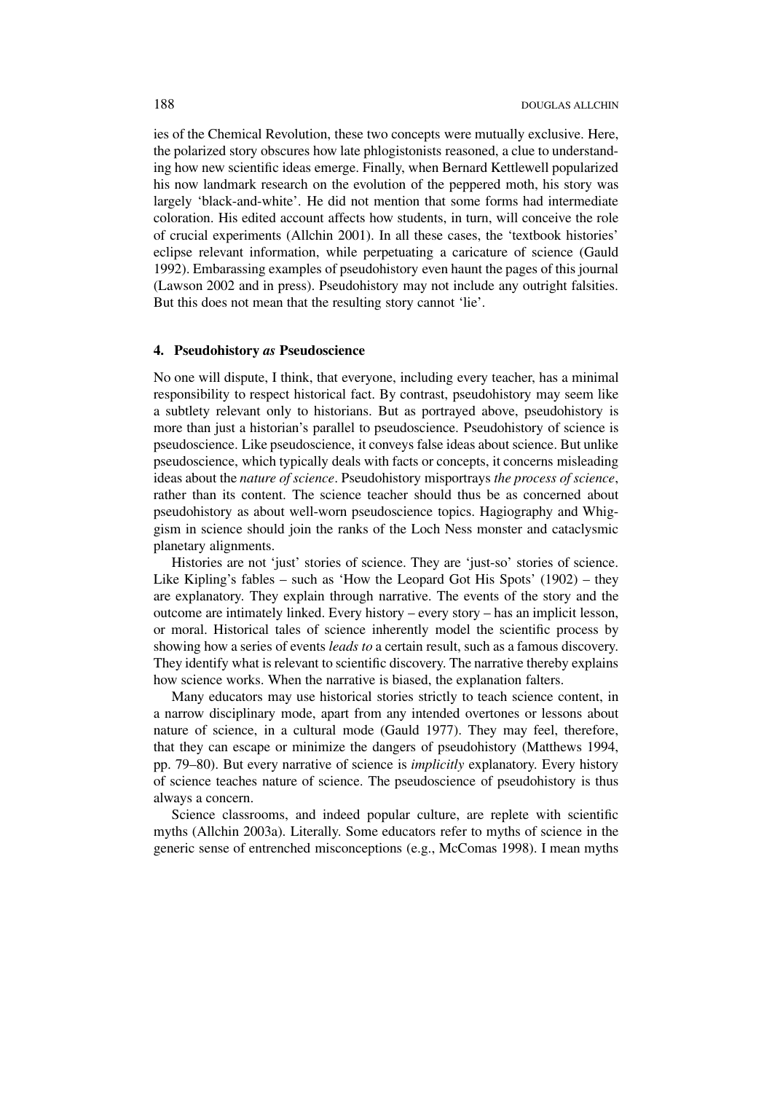ies of the Chemical Revolution, these two concepts were mutually exclusive. Here, the polarized story obscures how late phlogistonists reasoned, a clue to understanding how new scientific ideas emerge. Finally, when Bernard Kettlewell popularized his now landmark research on the evolution of the peppered moth, his story was largely 'black-and-white'. He did not mention that some forms had intermediate coloration. His edited account affects how students, in turn, will conceive the role of crucial experiments (Allchin 2001). In all these cases, the 'textbook histories' eclipse relevant information, while perpetuating a caricature of science (Gauld 1992). Embarassing examples of pseudohistory even haunt the pages of this journal (Lawson 2002 and in press). Pseudohistory may not include any outright falsities. But this does not mean that the resulting story cannot 'lie'.

# **4. Pseudohistory** *as* **Pseudoscience**

No one will dispute, I think, that everyone, including every teacher, has a minimal responsibility to respect historical fact. By contrast, pseudohistory may seem like a subtlety relevant only to historians. But as portrayed above, pseudohistory is more than just a historian's parallel to pseudoscience. Pseudohistory of science is pseudoscience. Like pseudoscience, it conveys false ideas about science. But unlike pseudoscience, which typically deals with facts or concepts, it concerns misleading ideas about the *nature of science*. Pseudohistory misportrays *the process of science*, rather than its content. The science teacher should thus be as concerned about pseudohistory as about well-worn pseudoscience topics. Hagiography and Whiggism in science should join the ranks of the Loch Ness monster and cataclysmic planetary alignments.

Histories are not 'just' stories of science. They are 'just-so' stories of science. Like Kipling's fables – such as 'How the Leopard Got His Spots' (1902) – they are explanatory. They explain through narrative. The events of the story and the outcome are intimately linked. Every history – every story – has an implicit lesson, or moral. Historical tales of science inherently model the scientific process by showing how a series of events *leads to* a certain result, such as a famous discovery. They identify what is relevant to scientific discovery. The narrative thereby explains how science works. When the narrative is biased, the explanation falters.

Many educators may use historical stories strictly to teach science content, in a narrow disciplinary mode, apart from any intended overtones or lessons about nature of science, in a cultural mode (Gauld 1977). They may feel, therefore, that they can escape or minimize the dangers of pseudohistory (Matthews 1994, pp. 79–80). But every narrative of science is *implicitly* explanatory. Every history of science teaches nature of science. The pseudoscience of pseudohistory is thus always a concern.

Science classrooms, and indeed popular culture, are replete with scientific myths (Allchin 2003a). Literally. Some educators refer to myths of science in the generic sense of entrenched misconceptions (e.g., McComas 1998). I mean myths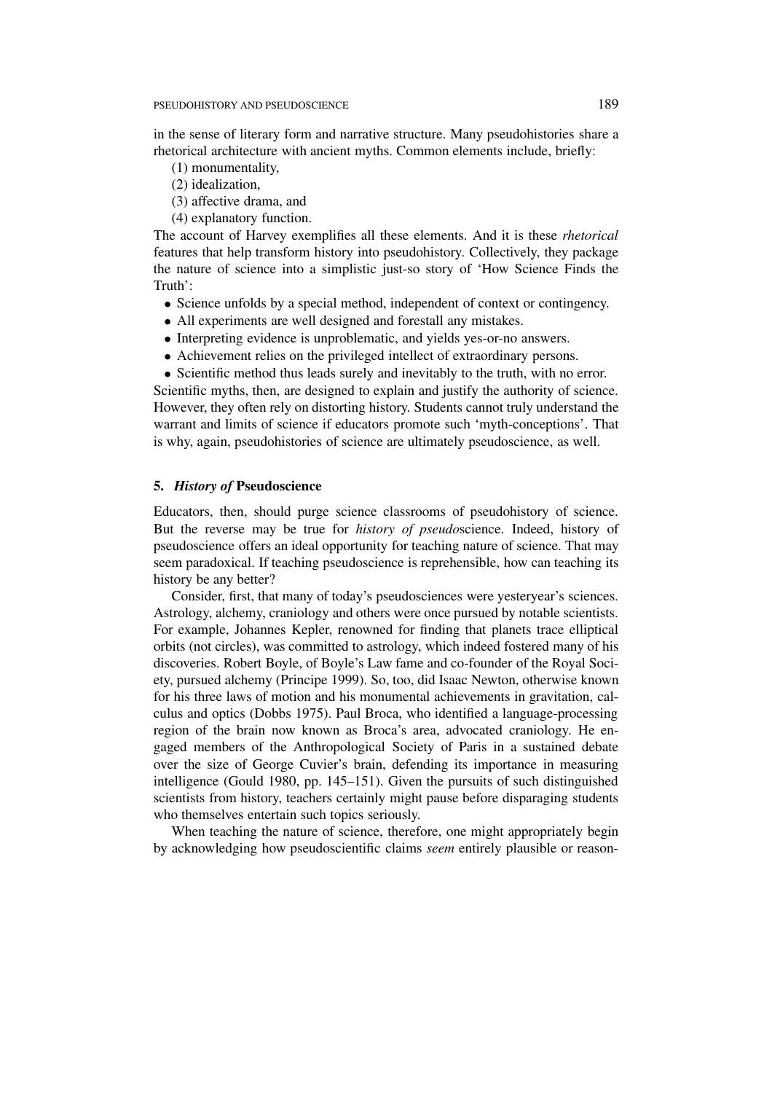in the sense of literary form and narrative structure. Many pseudohistories share a rhetorical architecture with ancient myths. Common elements include, briefly:

- (1) monumentality,
- (2) idealization,
- (3) affective drama, and
- (4) explanatory function.

The account of Harvey exemplifies all these elements. And it is these *rhetorical* features that help transform history into pseudohistory. Collectively, they package the nature of science into a simplistic just-so story of 'How Science Finds the Truth':

- Science unfolds by a special method, independent of context or contingency.
- All experiments are well designed and forestall any mistakes.
- Interpreting evidence is unproblematic, and vields yes-or-no answers.
- Achievement relies on the privileged intellect of extraordinary persons.
- Scientific method thus leads surely and inevitably to the truth, with no error.

Scientific myths, then, are designed to explain and justify the authority of science. However, they often rely on distorting history. Students cannot truly understand the warrant and limits of science if educators promote such 'myth-conceptions'. That is why, again, pseudohistories of science are ultimately pseudoscience, as well.

## **5.** *History of* **Pseudoscience**

Educators, then, should purge science classrooms of pseudohistory of science. But the reverse may be true for *history of pseudo*science. Indeed, history of pseudoscience offers an ideal opportunity for teaching nature of science. That may seem paradoxical. If teaching pseudoscience is reprehensible, how can teaching its history be any better?

Consider, first, that many of today's pseudosciences were yesteryear's sciences. Astrology, alchemy, craniology and others were once pursued by notable scientists. For example, Johannes Kepler, renowned for finding that planets trace elliptical orbits (not circles), was committed to astrology, which indeed fostered many of his discoveries. Robert Boyle, of Boyle's Law fame and co-founder of the Royal Society, pursued alchemy (Principe 1999). So, too, did Isaac Newton, otherwise known for his three laws of motion and his monumental achievements in gravitation, calculus and optics (Dobbs 1975). Paul Broca, who identified a language-processing region of the brain now known as Broca's area, advocated craniology. He engaged members of the Anthropological Society of Paris in a sustained debate over the size of George Cuvier's brain, defending its importance in measuring intelligence (Gould 1980, pp. 145–151). Given the pursuits of such distinguished scientists from history, teachers certainly might pause before disparaging students who themselves entertain such topics seriously.

When teaching the nature of science, therefore, one might appropriately begin by acknowledging how pseudoscientific claims *seem* entirely plausible or reason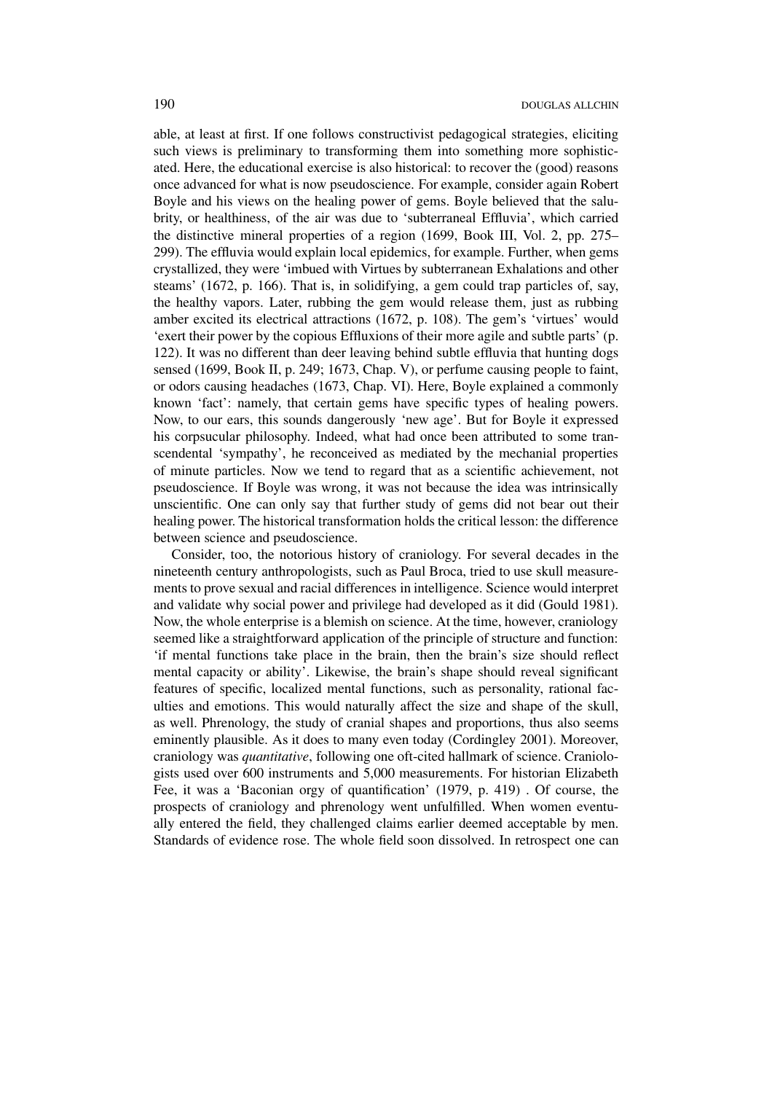able, at least at first. If one follows constructivist pedagogical strategies, eliciting such views is preliminary to transforming them into something more sophisticated. Here, the educational exercise is also historical: to recover the (good) reasons once advanced for what is now pseudoscience. For example, consider again Robert Boyle and his views on the healing power of gems. Boyle believed that the salubrity, or healthiness, of the air was due to 'subterraneal Effluvia', which carried the distinctive mineral properties of a region (1699, Book III, Vol. 2, pp. 275– 299). The effluvia would explain local epidemics, for example. Further, when gems crystallized, they were 'imbued with Virtues by subterranean Exhalations and other steams' (1672, p. 166). That is, in solidifying, a gem could trap particles of, say, the healthy vapors. Later, rubbing the gem would release them, just as rubbing amber excited its electrical attractions (1672, p. 108). The gem's 'virtues' would 'exert their power by the copious Effluxions of their more agile and subtle parts' (p. 122). It was no different than deer leaving behind subtle effluvia that hunting dogs sensed (1699, Book II, p. 249; 1673, Chap. V), or perfume causing people to faint, or odors causing headaches (1673, Chap. VI). Here, Boyle explained a commonly known 'fact': namely, that certain gems have specific types of healing powers. Now, to our ears, this sounds dangerously 'new age'. But for Boyle it expressed his corpsucular philosophy. Indeed, what had once been attributed to some transcendental 'sympathy', he reconceived as mediated by the mechanial properties of minute particles. Now we tend to regard that as a scientific achievement, not pseudoscience. If Boyle was wrong, it was not because the idea was intrinsically unscientific. One can only say that further study of gems did not bear out their healing power. The historical transformation holds the critical lesson: the difference between science and pseudoscience.

Consider, too, the notorious history of craniology. For several decades in the nineteenth century anthropologists, such as Paul Broca, tried to use skull measurements to prove sexual and racial differences in intelligence. Science would interpret and validate why social power and privilege had developed as it did (Gould 1981). Now, the whole enterprise is a blemish on science. At the time, however, craniology seemed like a straightforward application of the principle of structure and function: 'if mental functions take place in the brain, then the brain's size should reflect mental capacity or ability'. Likewise, the brain's shape should reveal significant features of specific, localized mental functions, such as personality, rational faculties and emotions. This would naturally affect the size and shape of the skull, as well. Phrenology, the study of cranial shapes and proportions, thus also seems eminently plausible. As it does to many even today (Cordingley 2001). Moreover, craniology was *quantitative*, following one oft-cited hallmark of science. Craniologists used over 600 instruments and 5,000 measurements. For historian Elizabeth Fee, it was a 'Baconian orgy of quantification' (1979, p. 419) . Of course, the prospects of craniology and phrenology went unfulfilled. When women eventually entered the field, they challenged claims earlier deemed acceptable by men. Standards of evidence rose. The whole field soon dissolved. In retrospect one can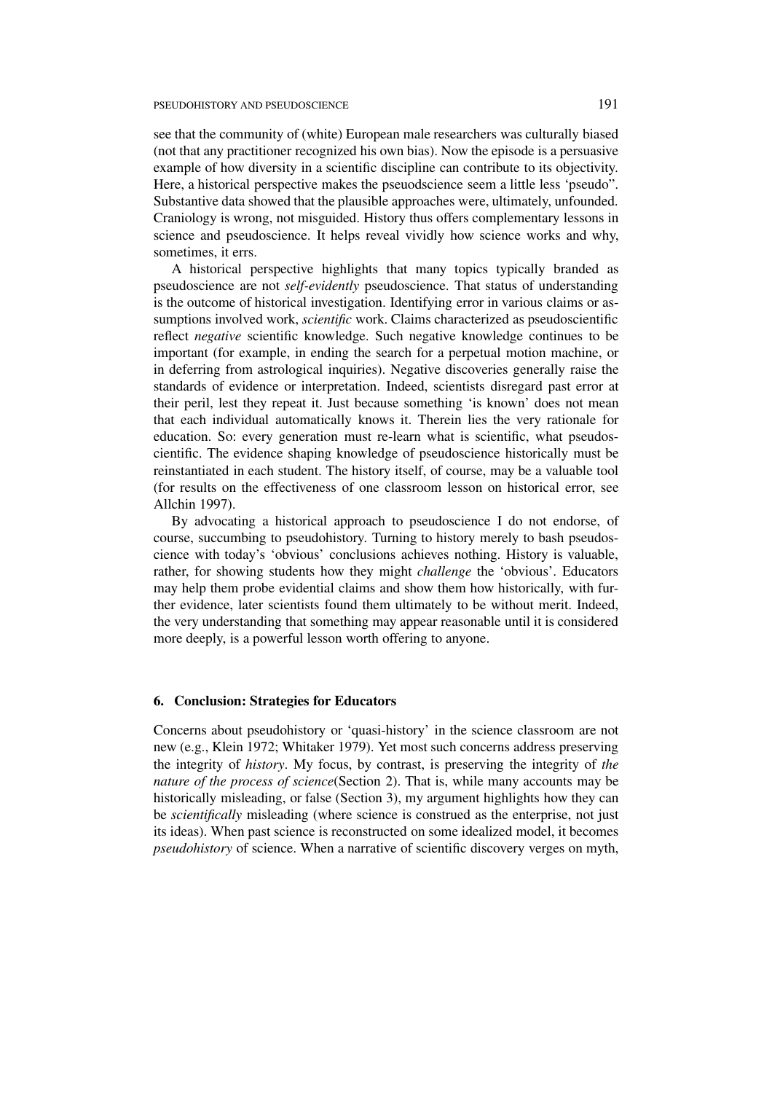see that the community of (white) European male researchers was culturally biased (not that any practitioner recognized his own bias). Now the episode is a persuasive example of how diversity in a scientific discipline can contribute to its objectivity. Here, a historical perspective makes the pseuodscience seem a little less 'pseudo". Substantive data showed that the plausible approaches were, ultimately, unfounded. Craniology is wrong, not misguided. History thus offers complementary lessons in science and pseudoscience. It helps reveal vividly how science works and why, sometimes, it errs.

A historical perspective highlights that many topics typically branded as pseudoscience are not *self-evidently* pseudoscience. That status of understanding is the outcome of historical investigation. Identifying error in various claims or assumptions involved work, *scientific* work. Claims characterized as pseudoscientific reflect *negative* scientific knowledge. Such negative knowledge continues to be important (for example, in ending the search for a perpetual motion machine, or in deferring from astrological inquiries). Negative discoveries generally raise the standards of evidence or interpretation. Indeed, scientists disregard past error at their peril, lest they repeat it. Just because something 'is known' does not mean that each individual automatically knows it. Therein lies the very rationale for education. So: every generation must re-learn what is scientific, what pseudoscientific. The evidence shaping knowledge of pseudoscience historically must be reinstantiated in each student. The history itself, of course, may be a valuable tool (for results on the effectiveness of one classroom lesson on historical error, see Allchin 1997).

By advocating a historical approach to pseudoscience I do not endorse, of course, succumbing to pseudohistory. Turning to history merely to bash pseudoscience with today's 'obvious' conclusions achieves nothing. History is valuable, rather, for showing students how they might *challenge* the 'obvious'. Educators may help them probe evidential claims and show them how historically, with further evidence, later scientists found them ultimately to be without merit. Indeed, the very understanding that something may appear reasonable until it is considered more deeply, is a powerful lesson worth offering to anyone.

## **6. Conclusion: Strategies for Educators**

Concerns about pseudohistory or 'quasi-history' in the science classroom are not new (e.g., Klein 1972; Whitaker 1979). Yet most such concerns address preserving the integrity of *history*. My focus, by contrast, is preserving the integrity of *the nature of the process of science*(Section 2). That is, while many accounts may be historically misleading, or false (Section 3), my argument highlights how they can be *scientifically* misleading (where science is construed as the enterprise, not just its ideas). When past science is reconstructed on some idealized model, it becomes *pseudohistory* of science. When a narrative of scientific discovery verges on myth,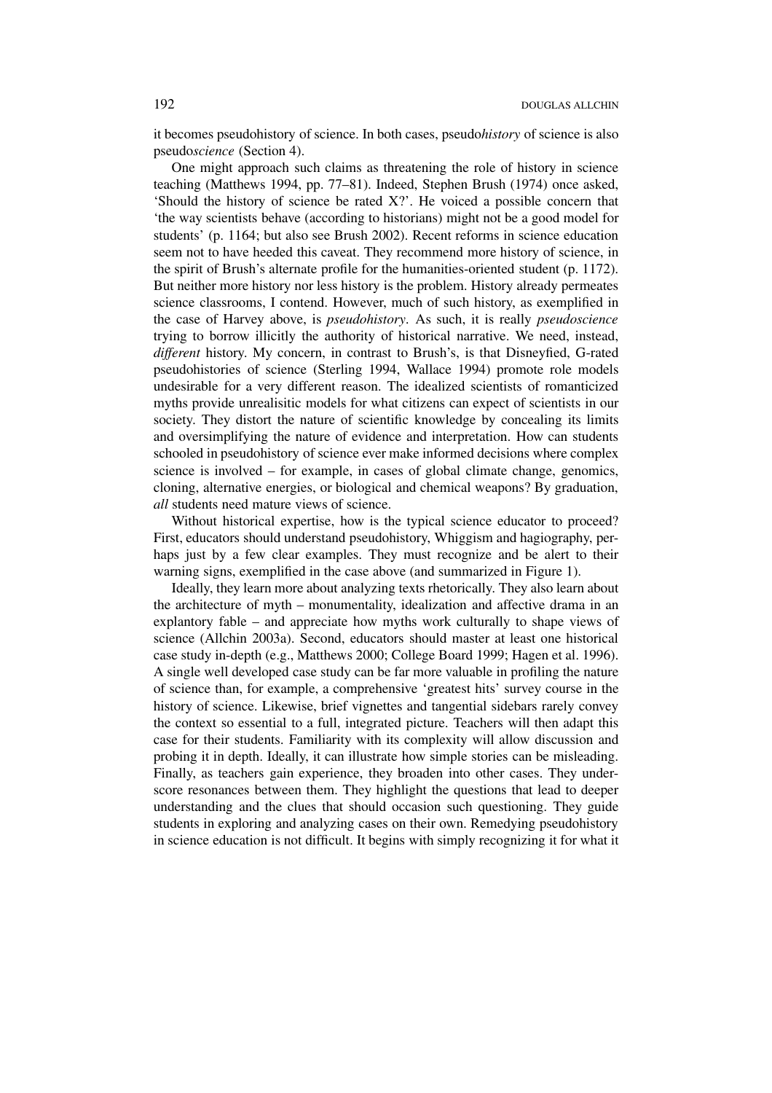it becomes pseudohistory of science. In both cases, pseudo*history* of science is also pseudo*science* (Section 4).

One might approach such claims as threatening the role of history in science teaching (Matthews 1994, pp. 77–81). Indeed, Stephen Brush (1974) once asked, 'Should the history of science be rated X?'. He voiced a possible concern that 'the way scientists behave (according to historians) might not be a good model for students' (p. 1164; but also see Brush 2002). Recent reforms in science education seem not to have heeded this caveat. They recommend more history of science, in the spirit of Brush's alternate profile for the humanities-oriented student (p. 1172). But neither more history nor less history is the problem. History already permeates science classrooms, I contend. However, much of such history, as exemplified in the case of Harvey above, is *pseudohistory*. As such, it is really *pseudoscience* trying to borrow illicitly the authority of historical narrative. We need, instead, *different* history. My concern, in contrast to Brush's, is that Disneyfied, G-rated pseudohistories of science (Sterling 1994, Wallace 1994) promote role models undesirable for a very different reason. The idealized scientists of romanticized myths provide unrealisitic models for what citizens can expect of scientists in our society. They distort the nature of scientific knowledge by concealing its limits and oversimplifying the nature of evidence and interpretation. How can students schooled in pseudohistory of science ever make informed decisions where complex science is involved – for example, in cases of global climate change, genomics, cloning, alternative energies, or biological and chemical weapons? By graduation, *all* students need mature views of science.

Without historical expertise, how is the typical science educator to proceed? First, educators should understand pseudohistory, Whiggism and hagiography, perhaps just by a few clear examples. They must recognize and be alert to their warning signs, exemplified in the case above (and summarized in Figure 1).

Ideally, they learn more about analyzing texts rhetorically. They also learn about the architecture of myth – monumentality, idealization and affective drama in an explantory fable – and appreciate how myths work culturally to shape views of science (Allchin 2003a). Second, educators should master at least one historical case study in-depth (e.g., Matthews 2000; College Board 1999; Hagen et al. 1996). A single well developed case study can be far more valuable in profiling the nature of science than, for example, a comprehensive 'greatest hits' survey course in the history of science. Likewise, brief vignettes and tangential sidebars rarely convey the context so essential to a full, integrated picture. Teachers will then adapt this case for their students. Familiarity with its complexity will allow discussion and probing it in depth. Ideally, it can illustrate how simple stories can be misleading. Finally, as teachers gain experience, they broaden into other cases. They underscore resonances between them. They highlight the questions that lead to deeper understanding and the clues that should occasion such questioning. They guide students in exploring and analyzing cases on their own. Remedying pseudohistory in science education is not difficult. It begins with simply recognizing it for what it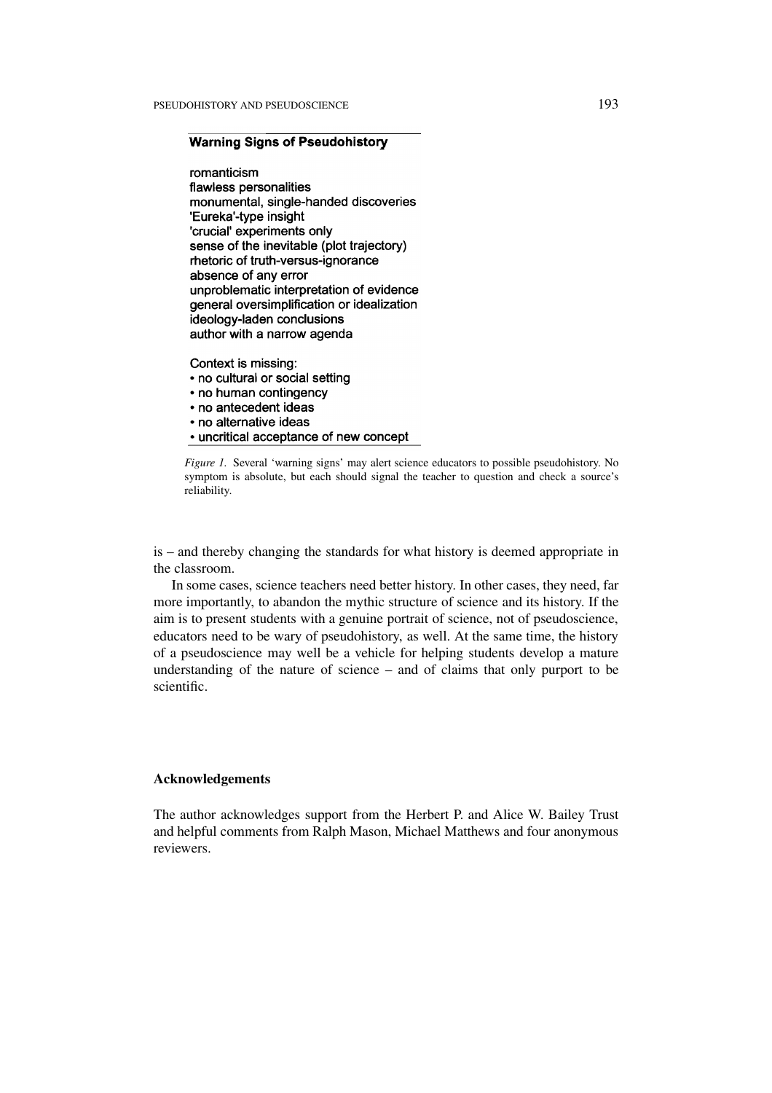# **Warning Signs of Pseudohistory**

romanticism flawless personalities monumental, single-handed discoveries 'Eureka'-type insight 'crucial' experiments only sense of the inevitable (plot trajectory) rhetoric of truth-versus-ignorance absence of any error unproblematic interpretation of evidence general oversimplification or idealization ideology-laden conclusions author with a narrow agenda

Context is missing:

- no cultural or social setting
- no human contingency
- no antecedent ideas
- · no alternative ideas
- uncritical acceptance of new concept

*Figure 1.* Several 'warning signs' may alert science educators to possible pseudohistory. No symptom is absolute, but each should signal the teacher to question and check a source's reliability.

is – and thereby changing the standards for what history is deemed appropriate in the classroom.

In some cases, science teachers need better history. In other cases, they need, far more importantly, to abandon the mythic structure of science and its history. If the aim is to present students with a genuine portrait of science, not of pseudoscience, educators need to be wary of pseudohistory, as well. At the same time, the history of a pseudoscience may well be a vehicle for helping students develop a mature understanding of the nature of science – and of claims that only purport to be scientific.

# **Acknowledgements**

The author acknowledges support from the Herbert P. and Alice W. Bailey Trust and helpful comments from Ralph Mason, Michael Matthews and four anonymous reviewers.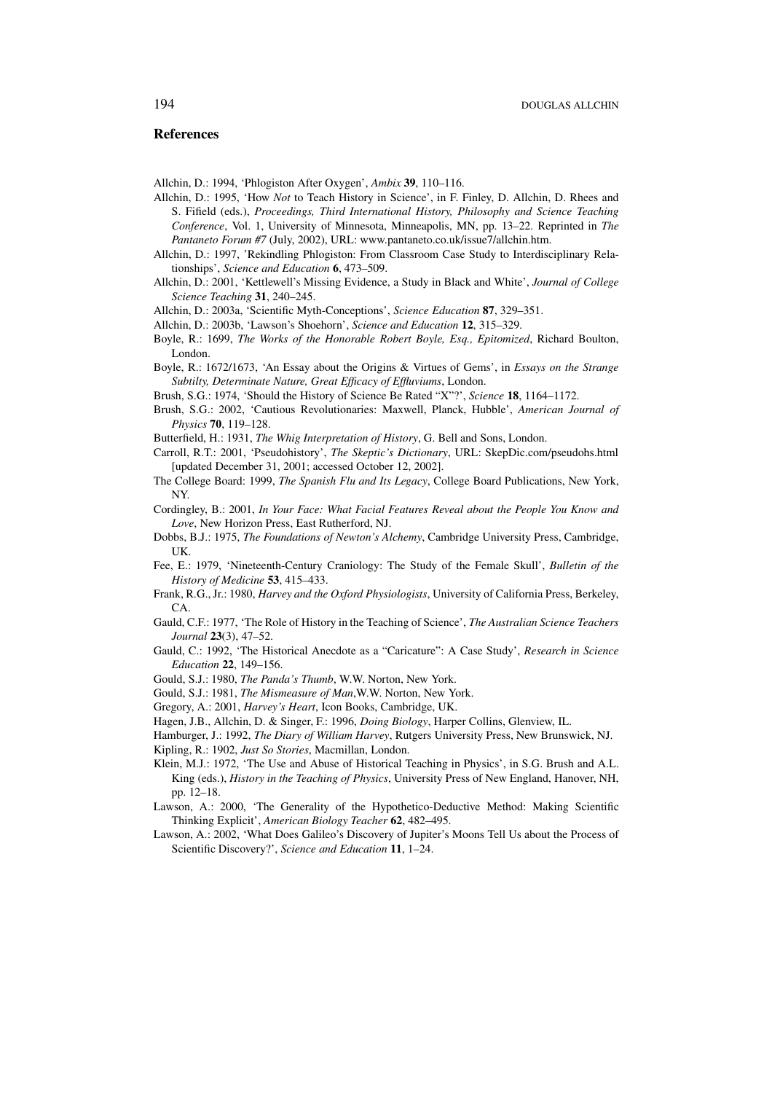## **References**

- Allchin, D.: 1994, 'Phlogiston After Oxygen', *Ambix* **39**, 110–116.
- Allchin, D.: 1995, 'How *Not* to Teach History in Science', in F. Finley, D. Allchin, D. Rhees and S. Fifield (eds.), *Proceedings, Third International History, Philosophy and Science Teaching Conference*, Vol. 1, University of Minnesota, Minneapolis, MN, pp. 13–22. Reprinted in *The Pantaneto Forum #7* (July, 2002), URL: www.pantaneto.co.uk/issue7/allchin.htm.
- Allchin, D.: 1997, 'Rekindling Phlogiston: From Classroom Case Study to Interdisciplinary Relationships', *Science and Education* **6**, 473–509.
- Allchin, D.: 2001, 'Kettlewell's Missing Evidence, a Study in Black and White', *Journal of College Science Teaching* **31**, 240–245.
- Allchin, D.: 2003a, 'Scientific Myth-Conceptions', *Science Education* **87**, 329–351.
- Allchin, D.: 2003b, 'Lawson's Shoehorn', *Science and Education* **12**, 315–329.
- Boyle, R.: 1699, *The Works of the Honorable Robert Boyle, Esq., Epitomized*, Richard Boulton, London.
- Boyle, R.: 1672/1673, 'An Essay about the Origins & Virtues of Gems', in *Essays on the Strange Subtilty, Determinate Nature, Great Efficacy of Effluviums*, London.
- Brush, S.G.: 1974, 'Should the History of Science Be Rated "X"?', *Science* **18**, 1164–1172.
- Brush, S.G.: 2002, 'Cautious Revolutionaries: Maxwell, Planck, Hubble', *American Journal of Physics* **70**, 119–128.
- Butterfield, H.: 1931, *The Whig Interpretation of History*, G. Bell and Sons, London.
- Carroll, R.T.: 2001, 'Pseudohistory', *The Skeptic's Dictionary*, URL: SkepDic.com/pseudohs.html [updated December 31, 2001; accessed October 12, 2002].
- The College Board: 1999, *The Spanish Flu and Its Legacy*, College Board Publications, New York, NY.
- Cordingley, B.: 2001, *In Your Face: What Facial Features Reveal about the People You Know and Love*, New Horizon Press, East Rutherford, NJ.
- Dobbs, B.J.: 1975, *The Foundations of Newton's Alchemy*, Cambridge University Press, Cambridge, UK.
- Fee, E.: 1979, 'Nineteenth-Century Craniology: The Study of the Female Skull', *Bulletin of the History of Medicine* **53**, 415–433.
- Frank, R.G., Jr.: 1980, *Harvey and the Oxford Physiologists*, University of California Press, Berkeley, CA.
- Gauld, C.F.: 1977, 'The Role of History in the Teaching of Science', *The Australian Science Teachers Journal* **23**(3), 47–52.
- Gauld, C.: 1992, 'The Historical Anecdote as a "Caricature": A Case Study', *Research in Science Education* **22**, 149–156.
- Gould, S.J.: 1980, *The Panda's Thumb*, W.W. Norton, New York.
- Gould, S.J.: 1981, *The Mismeasure of Man*,W.W. Norton, New York.
- Gregory, A.: 2001, *Harvey's Heart*, Icon Books, Cambridge, UK.
- Hagen, J.B., Allchin, D. & Singer, F.: 1996, *Doing Biology*, Harper Collins, Glenview, IL.
- Hamburger, J.: 1992, *The Diary of William Harvey*, Rutgers University Press, New Brunswick, NJ.
- Kipling, R.: 1902, *Just So Stories*, Macmillan, London.
- Klein, M.J.: 1972, 'The Use and Abuse of Historical Teaching in Physics', in S.G. Brush and A.L. King (eds.), *History in the Teaching of Physics*, University Press of New England, Hanover, NH, pp. 12–18.
- Lawson, A.: 2000, 'The Generality of the Hypothetico-Deductive Method: Making Scientific Thinking Explicit', *American Biology Teacher* **62**, 482–495.
- Lawson, A.: 2002, 'What Does Galileo's Discovery of Jupiter's Moons Tell Us about the Process of Scientific Discovery?', *Science and Education* **11**, 1–24.